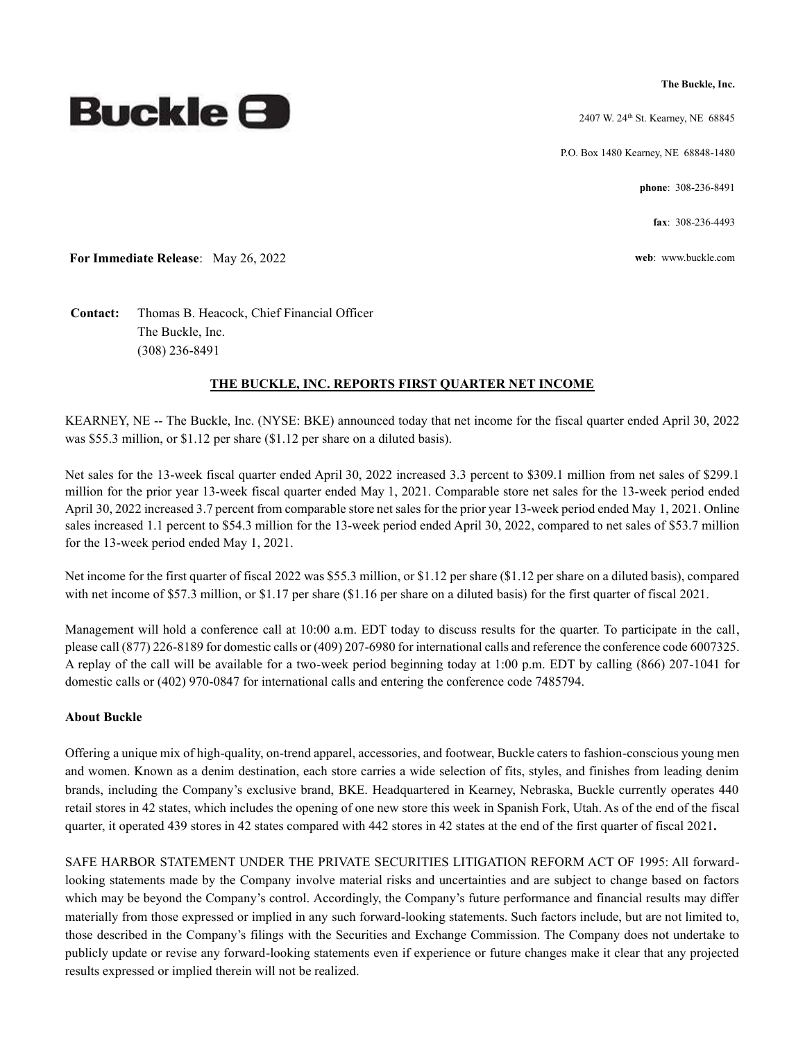**The Buckle, Inc.**

2407 W. 24th St. Kearney, NE 68845

P.O. Box 1480 Kearney, NE 68848-1480

**phone**: 308-236-8491

**fax**: 308-236-4493

**For Immediate Release**: May 26, 2022 **web**: www.buckle.com

**Contact:** Thomas B. Heacock, Chief Financial Officer The Buckle, Inc. (308) 236-8491

### **THE BUCKLE, INC. REPORTS FIRST QUARTER NET INCOME**

KEARNEY, NE -- The Buckle, Inc. (NYSE: BKE) announced today that net income for the fiscal quarter ended April 30, 2022 was \$55.3 million, or \$1.12 per share (\$1.12 per share on a diluted basis).

Net sales for the 13-week fiscal quarter ended April 30, 2022 increased 3.3 percent to \$309.1 million from net sales of \$299.1 million for the prior year 13-week fiscal quarter ended May 1, 2021. Comparable store net sales for the 13-week period ended April 30, 2022 increased 3.7 percent from comparable store net sales for the prior year 13-week period ended May 1, 2021. Online sales increased 1.1 percent to \$54.3 million for the 13-week period ended April 30, 2022, compared to net sales of \$53.7 million for the 13-week period ended May 1, 2021.

Net income for the first quarter of fiscal 2022 was \$55.3 million, or \$1.12 per share (\$1.12 per share on a diluted basis), compared with net income of \$57.3 million, or \$1.17 per share (\$1.16 per share on a diluted basis) for the first quarter of fiscal 2021.

Management will hold a conference call at 10:00 a.m. EDT today to discuss results for the quarter. To participate in the call, please call (877) 226-8189 for domestic calls or (409) 207-6980 for international calls and reference the conference code 6007325. A replay of the call will be available for a two-week period beginning today at 1:00 p.m. EDT by calling (866) 207-1041 for domestic calls or (402) 970-0847 for international calls and entering the conference code 7485794.

#### **About Buckle**

Offering a unique mix of high-quality, on-trend apparel, accessories, and footwear, Buckle caters to fashion-conscious young men and women. Known as a denim destination, each store carries a wide selection of fits, styles, and finishes from leading denim brands, including the Company's exclusive brand, BKE. Headquartered in Kearney, Nebraska, Buckle currently operates 440 retail stores in 42 states, which includes the opening of one new store this week in Spanish Fork, Utah. As of the end of the fiscal quarter, it operated 439 stores in 42 states compared with 442 stores in 42 states at the end of the first quarter of fiscal 2021**.** 

SAFE HARBOR STATEMENT UNDER THE PRIVATE SECURITIES LITIGATION REFORM ACT OF 1995: All forwardlooking statements made by the Company involve material risks and uncertainties and are subject to change based on factors which may be beyond the Company's control. Accordingly, the Company's future performance and financial results may differ materially from those expressed or implied in any such forward-looking statements. Such factors include, but are not limited to, those described in the Company's filings with the Securities and Exchange Commission. The Company does not undertake to publicly update or revise any forward-looking statements even if experience or future changes make it clear that any projected results expressed or implied therein will not be realized.

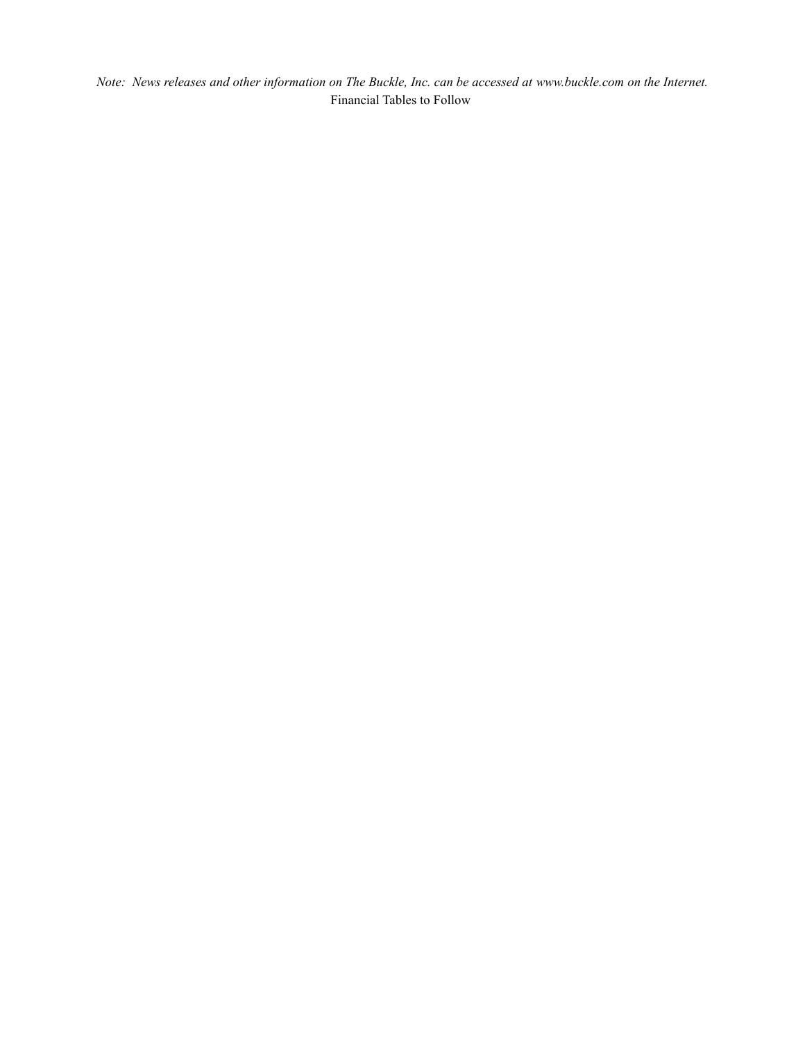*Note: News releases and other information on The Buckle, Inc. can be accessed at www.buckle.com on the Internet.* Financial Tables to Follow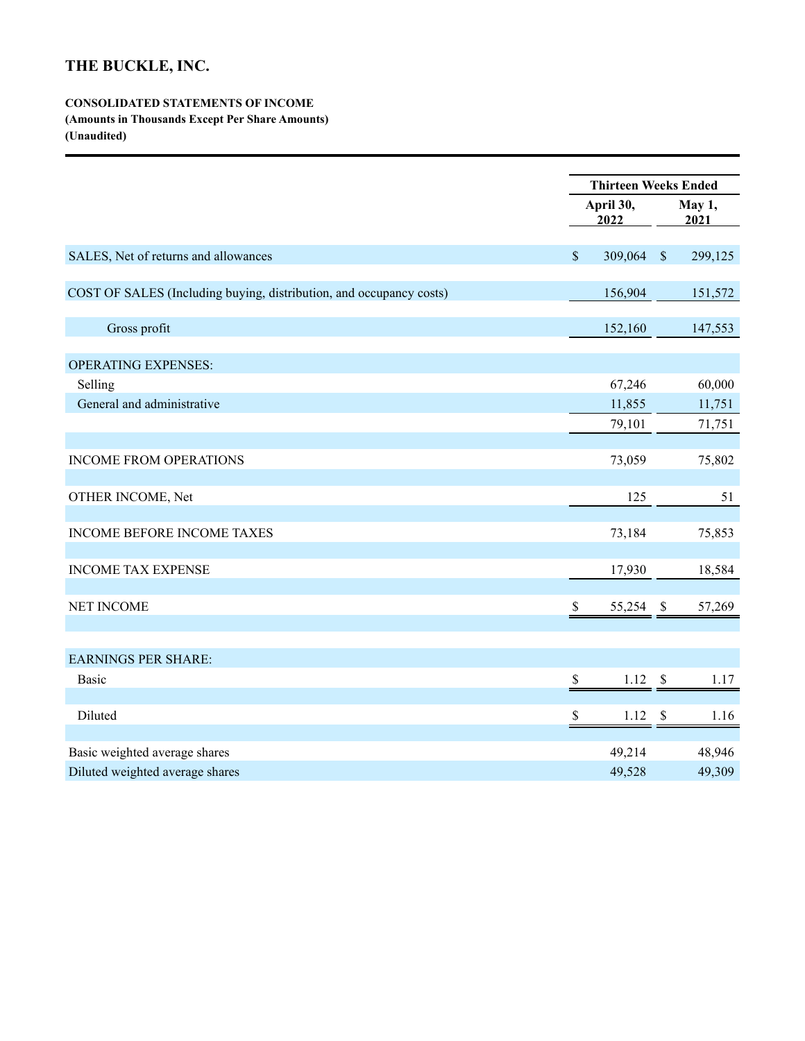# **THE BUCKLE, INC.**

## **CONSOLIDATED STATEMENTS OF INCOME**

**(Amounts in Thousands Except Per Share Amounts)**

**(Unaudited)**

|                                                                     | <b>Thirteen Weeks Ended</b> |                 |                           |         |  |
|---------------------------------------------------------------------|-----------------------------|-----------------|---------------------------|---------|--|
|                                                                     | April 30,<br>2022           |                 | May 1,<br>2021            |         |  |
| SALES, Net of returns and allowances                                | $\mathsf{\$}$               | 309,064 \$      |                           | 299,125 |  |
|                                                                     |                             |                 |                           |         |  |
| COST OF SALES (Including buying, distribution, and occupancy costs) |                             | 156,904         |                           | 151,572 |  |
| Gross profit                                                        |                             | 152,160         |                           | 147,553 |  |
| <b>OPERATING EXPENSES:</b>                                          |                             |                 |                           |         |  |
| Selling                                                             |                             | 67,246          |                           | 60,000  |  |
| General and administrative                                          |                             | 11,855          |                           | 11,751  |  |
|                                                                     |                             | 79,101          |                           | 71,751  |  |
| <b>INCOME FROM OPERATIONS</b>                                       |                             | 73,059          |                           | 75,802  |  |
| OTHER INCOME, Net                                                   |                             | 125             |                           | 51      |  |
| <b>INCOME BEFORE INCOME TAXES</b>                                   |                             | 73,184          |                           | 75,853  |  |
| <b>INCOME TAX EXPENSE</b>                                           |                             | 17,930          |                           | 18,584  |  |
| <b>NET INCOME</b>                                                   | \$                          | 55,254 \$       |                           | 57,269  |  |
|                                                                     |                             |                 |                           |         |  |
| <b>EARNINGS PER SHARE:</b><br><b>Basic</b>                          | \$                          | 1.12            | $\boldsymbol{\mathsf{S}}$ | 1.17    |  |
| Diluted                                                             | \$                          | $1.12 \quad$ \$ |                           | 1.16    |  |
|                                                                     |                             |                 |                           |         |  |
| Basic weighted average shares                                       |                             | 49,214          |                           | 48,946  |  |
| Diluted weighted average shares                                     |                             | 49,528          |                           | 49,309  |  |